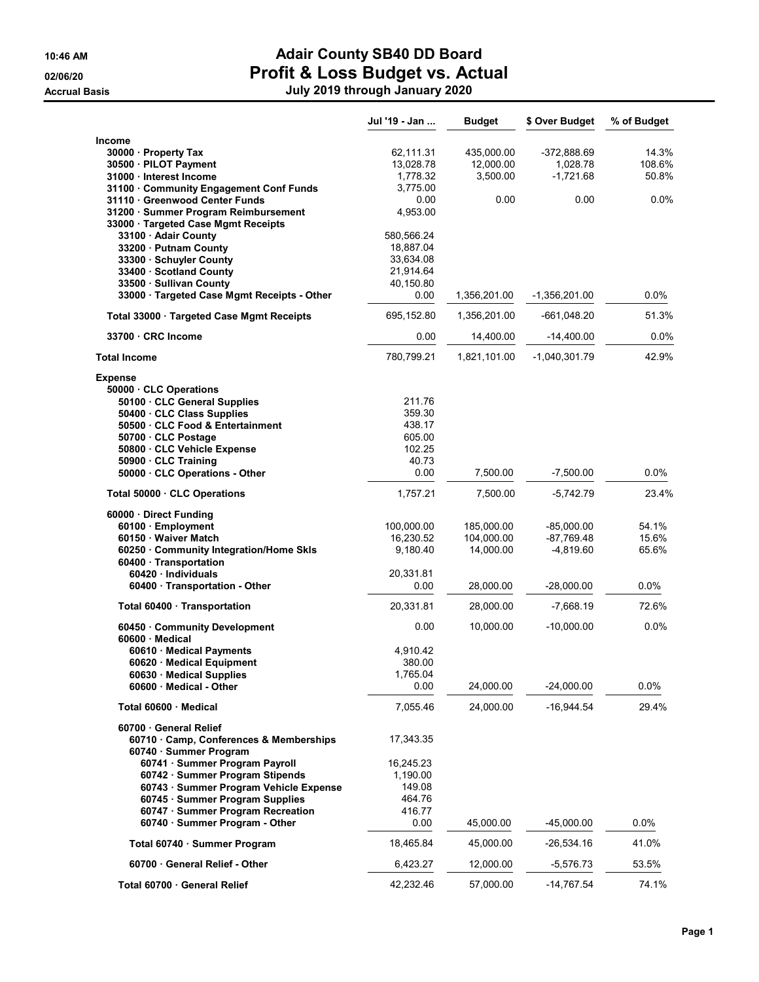### 10:46 AM **Adair County SB40 DD Board** 02/06/20 **Profit & Loss Budget vs. Actual**

Accrual Basis July 2019 through January 2020

|                                                                        | Jul '19 - Jan | <b>Budget</b> | \$ Over Budget  | % of Budget |
|------------------------------------------------------------------------|---------------|---------------|-----------------|-------------|
| Income                                                                 |               |               |                 |             |
| 30000 Property Tax                                                     | 62,111.31     | 435,000.00    | -372,888.69     | 14.3%       |
| 30500 · PILOT Payment                                                  | 13,028.78     | 12,000.00     | 1,028.78        | 108.6%      |
| 31000 · Interest Income                                                | 1,778.32      | 3,500.00      | $-1,721.68$     | 50.8%       |
| 31100 Community Engagement Conf Funds                                  | 3,775.00      |               |                 |             |
| 31110 Greenwood Center Funds                                           | 0.00          | 0.00          | 0.00            | 0.0%        |
| 31200 Summer Program Reimbursement                                     | 4,953.00      |               |                 |             |
|                                                                        |               |               |                 |             |
| 33000 Targeted Case Mgmt Receipts<br>33100 · Adair County              | 580,566.24    |               |                 |             |
| 33200 Putnam County                                                    | 18,887.04     |               |                 |             |
| 33300 · Schuyler County                                                | 33,634.08     |               |                 |             |
| 33400 · Scotland County                                                | 21,914.64     |               |                 |             |
|                                                                        | 40,150.80     |               |                 |             |
| 33500 · Sullivan County<br>33000 · Targeted Case Mgmt Receipts - Other | 0.00          |               | $-1,356,201.00$ | $0.0\%$     |
|                                                                        |               | 1,356,201.00  |                 |             |
| Total 33000 · Targeted Case Mgmt Receipts                              | 695,152.80    | 1,356,201.00  | -661,048.20     | 51.3%       |
| 33700 CRC Income                                                       | 0.00          | 14,400.00     | $-14,400.00$    | $0.0\%$     |
| <b>Total Income</b>                                                    | 780.799.21    | 1,821,101.00  | $-1.040.301.79$ | 42.9%       |
| <b>Expense</b>                                                         |               |               |                 |             |
| 50000 CLC Operations                                                   |               |               |                 |             |
| 50100 CLC General Supplies                                             | 211.76        |               |                 |             |
| 50400 · CLC Class Supplies                                             | 359.30        |               |                 |             |
| 50500 CLC Food & Entertainment                                         | 438.17        |               |                 |             |
| 50700 · CLC Postage                                                    | 605.00        |               |                 |             |
| 50800 · CLC Vehicle Expense                                            | 102.25        |               |                 |             |
| 50900 · CLC Training                                                   | 40.73         |               |                 |             |
| 50000 CLC Operations - Other                                           | 0.00          | 7,500.00      | $-7,500.00$     | 0.0%        |
| Total 50000 CLC Operations                                             | 1,757.21      | 7,500.00      | $-5,742.79$     | 23.4%       |
| 60000 · Direct Funding                                                 |               |               |                 |             |
| 60100 · Employment                                                     | 100,000.00    | 185,000.00    | $-85,000.00$    | 54.1%       |
| 60150 · Waiver Match                                                   | 16,230.52     | 104,000.00    | $-87,769.48$    | 15.6%       |
| 60250 Community Integration/Home Skls                                  | 9,180.40      | 14,000.00     | $-4,819.60$     | 65.6%       |
| 60400 · Transportation                                                 |               |               |                 |             |
| 60420 Individuals                                                      | 20,331.81     |               |                 |             |
| 60400 · Transportation - Other                                         | 0.00          | 28,000.00     | -28,000.00      | $0.0\%$     |
|                                                                        |               |               |                 |             |
| Total 60400 · Transportation                                           | 20,331.81     | 28,000.00     | $-7,668.19$     | 72.6%       |
| 60450 Community Development                                            | 0.00          | 10,000.00     | $-10,000.00$    | 0.0%        |
| 60600 Medical                                                          |               |               |                 |             |
| 60610 Medical Payments                                                 | 4,910.42      |               |                 |             |
| 60620 · Medical Equipment                                              | 380.00        |               |                 |             |
| 60630 Medical Supplies                                                 | 1,765.04      |               |                 |             |
| 60600 Medical - Other                                                  | 0.00          | 24,000.00     | $-24,000.00$    | $0.0\%$     |
| Total 60600 · Medical                                                  | 7,055.46      | 24,000.00     | $-16,944.54$    | 29.4%       |
| 60700 General Relief                                                   |               |               |                 |             |
| 60710 Camp, Conferences & Memberships                                  | 17,343.35     |               |                 |             |
| 60740 · Summer Program                                                 |               |               |                 |             |
| 60741 · Summer Program Payroll                                         | 16,245.23     |               |                 |             |
| 60742 · Summer Program Stipends                                        | 1,190.00      |               |                 |             |
| 60743 · Summer Program Vehicle Expense                                 | 149.08        |               |                 |             |
| 60745 · Summer Program Supplies                                        | 464.76        |               |                 |             |
| 60747 · Summer Program Recreation                                      | 416.77        |               |                 |             |
| 60740 · Summer Program - Other                                         | 0.00          | 45,000.00     | $-45,000.00$    | 0.0%        |
| Total 60740 · Summer Program                                           | 18,465.84     | 45,000.00     | $-26,534.16$    | 41.0%       |
| 60700 General Relief - Other                                           | 6,423.27      | 12,000.00     | -5,576.73       | 53.5%       |
| Total 60700 General Relief                                             | 42,232.46     | 57,000.00     | $-14,767.54$    | 74.1%       |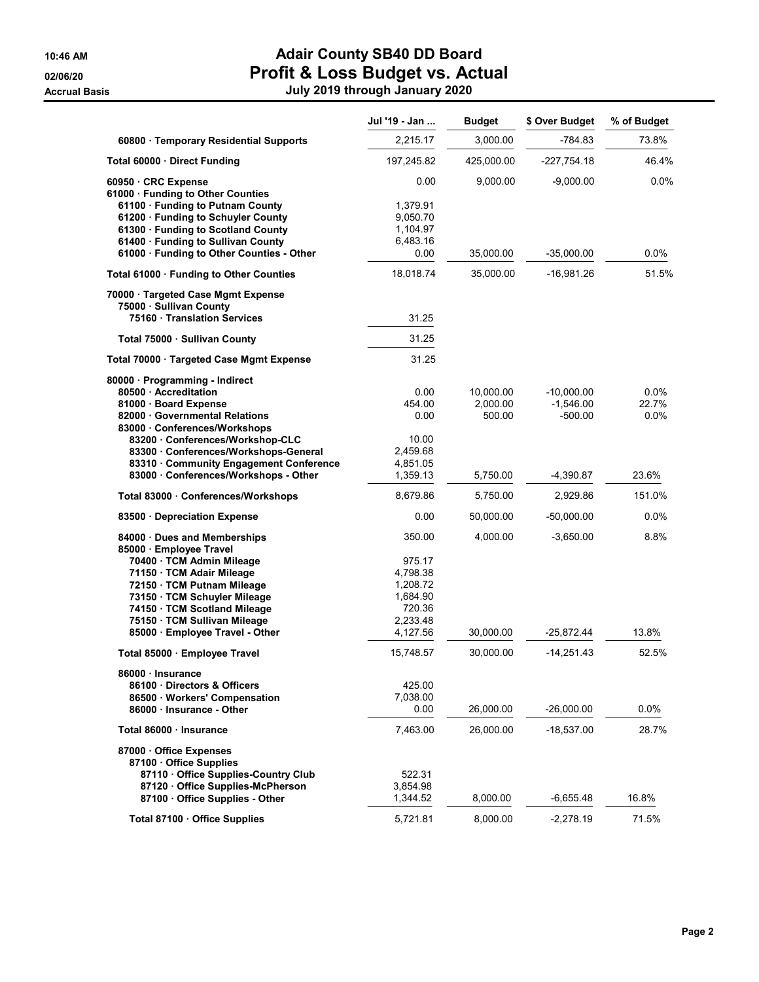**Accrual Basis** 

## 10:46 AM **Adair County SB40 DD Board** 02/06/20 **Profit & Loss Budget vs. Actual**

|  |  |                                |  | om & Looo Daagot vo. Aott |
|--|--|--------------------------------|--|---------------------------|
|  |  | July 2019 through January 2020 |  |                           |

|                                                                                                                                                             | Jul '19 - Jan                                        | <b>Budget</b>         | \$ Over Budget              | % of Budget   |
|-------------------------------------------------------------------------------------------------------------------------------------------------------------|------------------------------------------------------|-----------------------|-----------------------------|---------------|
| 60800 · Temporary Residential Supports                                                                                                                      | 2,215.17                                             | 3,000.00              | -784.83                     | 73.8%         |
| Total 60000 · Direct Funding                                                                                                                                | 197,245.82                                           | 425,000.00            | $-227,754.18$               | 46.4%         |
| 60950 CRC Expense<br>61000 · Funding to Other Counties<br>61100 · Funding to Putnam County                                                                  | 0.00<br>1,379.91                                     | 9,000.00              | $-9,000.00$                 | 0.0%          |
| 61200 · Funding to Schuyler County<br>61300 · Funding to Scotland County<br>61400 · Funding to Sullivan County<br>61000 · Funding to Other Counties - Other | 9,050.70<br>1,104.97<br>6,483.16<br>0.00             | 35,000.00             | $-35,000.00$                | $0.0\%$       |
| Total 61000 · Funding to Other Counties                                                                                                                     | 18,018.74                                            | 35,000.00             | -16,981.26                  | 51.5%         |
| 70000 · Targeted Case Mgmt Expense                                                                                                                          |                                                      |                       |                             |               |
| 75000 · Sullivan County<br>75160 Translation Services                                                                                                       | 31.25                                                |                       |                             |               |
| Total 75000 · Sullivan County                                                                                                                               | 31.25                                                |                       |                             |               |
| Total 70000 · Targeted Case Mgmt Expense                                                                                                                    | 31.25                                                |                       |                             |               |
| 80000 · Programming - Indirect<br>80500 · Accreditation<br>81000 · Board Expense                                                                            | 0.00<br>454.00                                       | 10,000.00<br>2,000.00 | $-10,000.00$<br>$-1,546.00$ | 0.0%<br>22.7% |
| 82000 Governmental Relations<br>83000 Conferences/Workshops<br>83200 Conferences/Workshop-CLC                                                               | 0.00<br>10.00                                        | 500.00                | $-500.00$                   | $0.0\%$       |
| 83300 Conferences/Workshops-General<br>83310 Community Engagement Conference<br>83000 · Conferences/Workshops - Other                                       | 2,459.68<br>4,851.05<br>1,359.13                     | 5,750.00              | $-4,390.87$                 | 23.6%         |
| Total 83000 · Conferences/Workshops                                                                                                                         | 8,679.86                                             | 5,750.00              | 2,929.86                    | 151.0%        |
| 83500 Depreciation Expense                                                                                                                                  | 0.00                                                 | 50,000.00             | $-50,000.00$                | 0.0%          |
| 84000 Dues and Memberships<br>85000 · Employee Travel                                                                                                       | 350.00                                               | 4,000.00              | $-3,650.00$                 | 8.8%          |
| 70400 · TCM Admin Mileage<br>71150 · TCM Adair Mileage<br>72150 · TCM Putnam Mileage<br>73150 · TCM Schuyler Mileage<br>74150 · TCM Scotland Mileage        | 975.17<br>4,798.38<br>1,208.72<br>1,684.90<br>720.36 |                       |                             |               |
| 75150 · TCM Sullivan Mileage<br>85000 · Employee Travel - Other                                                                                             | 2,233.48<br>4,127.56                                 | 30,000.00             | -25,872.44                  | 13.8%         |
| Total 85000 · Employee Travel                                                                                                                               | 15,748.57                                            | 30.000.00             | $-14,251.43$                | 52.5%         |
| 86000 · Insurance<br>86100 Directors & Officers<br>86500 · Workers' Compensation                                                                            | 425.00<br>7,038.00                                   |                       |                             |               |
| 86000 - Insurance - Other                                                                                                                                   | 0.00                                                 | 26,000.00             | $-26,000.00$                | 0.0%          |
| Total 86000 · Insurance                                                                                                                                     | 7,463.00                                             | 26,000.00             | -18,537.00                  | 28.7%         |
| 87000 Office Expenses<br>87100 Office Supplies                                                                                                              |                                                      |                       |                             |               |
| 87110 Office Supplies-Country Club<br>87120 Office Supplies-McPherson<br>87100 Office Supplies - Other                                                      | 522.31<br>3,854.98<br>1,344.52                       | 8,000.00              | -6,655.48                   | 16.8%         |
| Total 87100 · Office Supplies                                                                                                                               | 5,721.81                                             | 8,000.00              | $-2,278.19$                 | 71.5%         |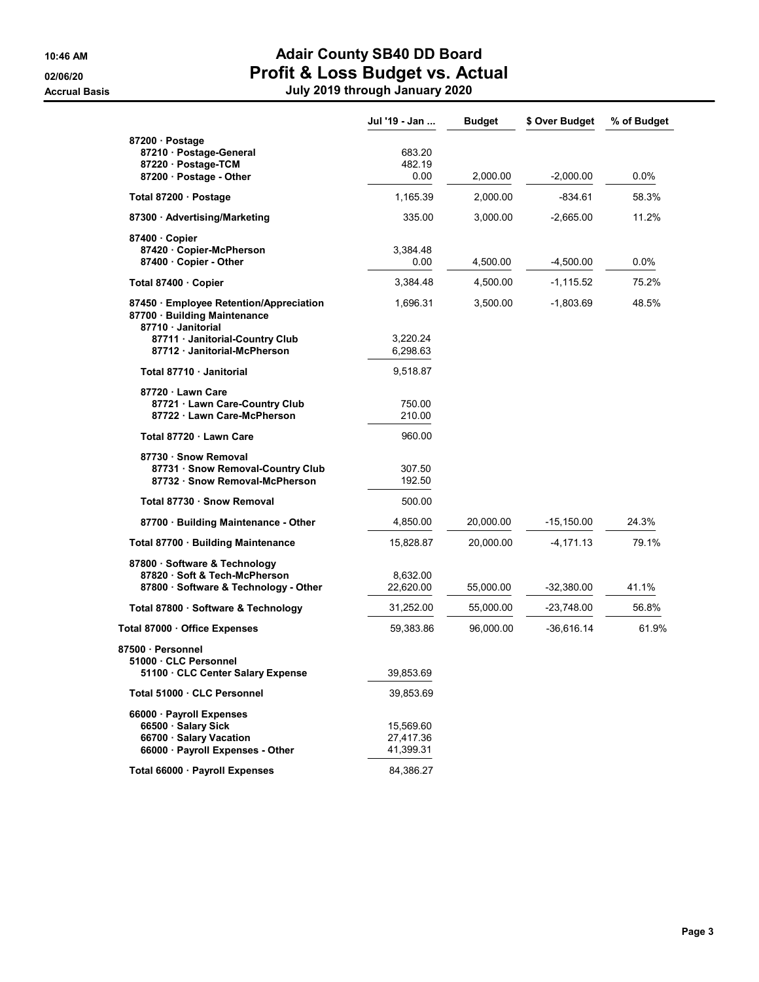**Accrual Basis** 

### 10:46 AM **Adair County SB40 DD Board** 02/06/20 **Profit & Loss Budget vs. Actual**

|  |  | July 2019 through January 2020 |
|--|--|--------------------------------|
|--|--|--------------------------------|

|                                                                                                                | Jul '19 - Jan                       | <b>Budget</b> | \$ Over Budget | % of Budget |
|----------------------------------------------------------------------------------------------------------------|-------------------------------------|---------------|----------------|-------------|
| 87200 · Postage<br>87210 · Postage-General<br>87220 · Postage-TCM<br>87200 Postage - Other                     | 683.20<br>482.19<br>0.00            | 2,000.00      | $-2,000.00$    | $0.0\%$     |
| Total 87200 · Postage                                                                                          | 1,165.39                            | 2,000.00      | $-834.61$      | 58.3%       |
| 87300 Advertising/Marketing                                                                                    | 335.00                              | 3,000.00      | $-2,665.00$    | 11.2%       |
| 87400 Copier<br>87420 Copier-McPherson<br>87400 · Copier - Other                                               | 3,384.48<br>0.00                    | 4,500.00      | -4,500.00      | $0.0\%$     |
| Total 87400 · Copier                                                                                           | 3,384.48                            | 4.500.00      | -1,115.52      | 75.2%       |
| 87450 · Employee Retention/Appreciation<br>87700 Building Maintenance<br>87710 Janitorial                      | 1,696.31                            | 3,500.00      | $-1,803.69$    | 48.5%       |
| 87711 · Janitorial-Country Club<br>87712 · Janitorial-McPherson                                                | 3,220.24<br>6,298.63                |               |                |             |
| Total 87710 · Janitorial                                                                                       | 9,518.87                            |               |                |             |
| 87720 Lawn Care<br>87721 · Lawn Care-Country Club<br>87722 · Lawn Care-McPherson                               | 750.00<br>210.00                    |               |                |             |
| Total 87720 · Lawn Care                                                                                        | 960.00                              |               |                |             |
| 87730 · Snow Removal<br>87731 · Snow Removal-Country Club<br>87732 · Snow Removal-McPherson                    | 307.50<br>192.50                    |               |                |             |
| Total 87730 · Snow Removal                                                                                     | 500.00                              |               |                |             |
| 87700 · Building Maintenance - Other                                                                           | 4,850.00                            | 20,000.00     | -15,150.00     | 24.3%       |
| Total 87700 · Building Maintenance                                                                             | 15,828.87                           | 20,000.00     | $-4,171.13$    | 79.1%       |
| 87800 · Software & Technology<br>87820 Soft & Tech-McPherson<br>87800 · Software & Technology - Other          | 8,632.00<br>22,620.00               | 55,000.00     | -32,380.00     | 41.1%       |
| Total 87800 · Software & Technology                                                                            | 31,252.00                           | 55,000.00     | -23,748.00     | 56.8%       |
| Total 87000 · Office Expenses                                                                                  | 59,383.86                           | 96,000.00     | $-36,616.14$   | 61.9%       |
| 87500 · Personnel<br>51000 CLC Personnel<br>51100 · CLC Center Salary Expense                                  | 39,853.69                           |               |                |             |
| Total 51000 · CLC Personnel                                                                                    | 39,853.69                           |               |                |             |
| 66000 · Payroll Expenses<br>66500 · Salary Sick<br>66700 · Salary Vacation<br>66000 · Payroll Expenses - Other | 15,569.60<br>27,417.36<br>41,399.31 |               |                |             |
| Total 66000 · Payroll Expenses                                                                                 | 84,386.27                           |               |                |             |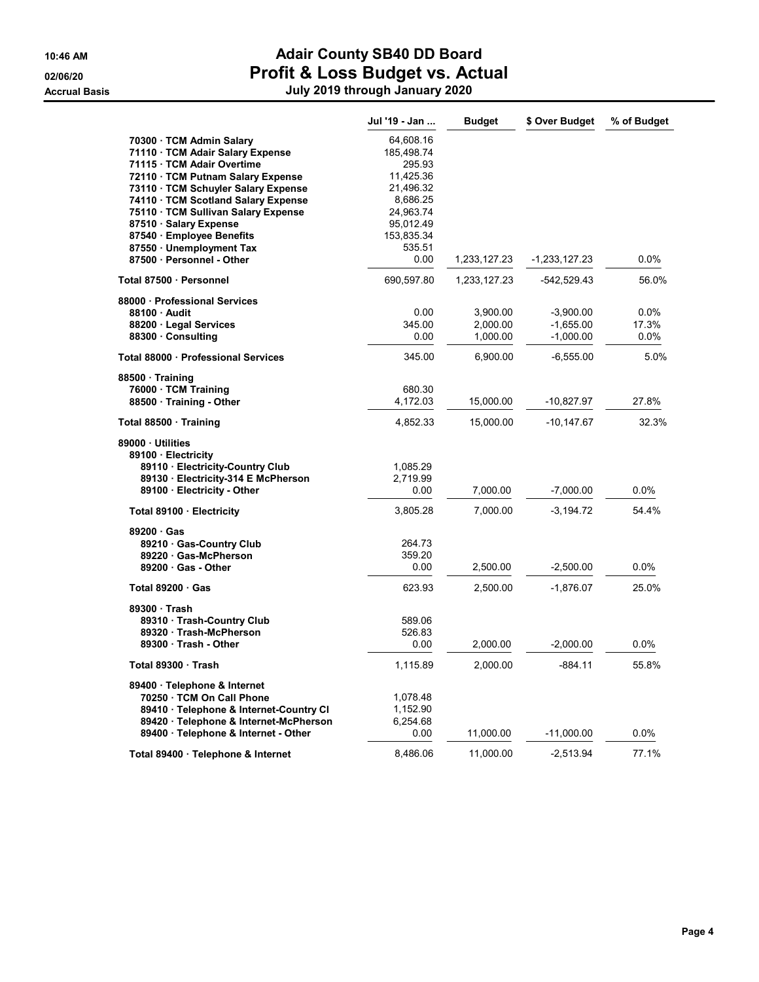#### 10:46 AM **Adair County SB40 DD Board** 02/06/20 **Profit & Loss Budget vs. Actual** Accrual Basis July 2019 through January 2020

|                                                                                                                                                                                          | Jul '19 - Jan                                                      | <b>Budget</b>                    | \$ Over Budget                            | % of Budget                 |
|------------------------------------------------------------------------------------------------------------------------------------------------------------------------------------------|--------------------------------------------------------------------|----------------------------------|-------------------------------------------|-----------------------------|
| 70300 TCM Admin Salary<br>71110 · TCM Adair Salary Expense<br>71115 · TCM Adair Overtime<br>72110 TCM Putnam Salary Expense<br>73110 · TCM Schuyler Salary Expense                       | 64,608.16<br>185,498.74<br>295.93<br>11,425.36<br>21,496.32        |                                  |                                           |                             |
| 74110 · TCM Scotland Salary Expense<br>75110 · TCM Sullivan Salary Expense<br>87510 Salary Expense<br>87540 · Employee Benefits<br>87550 · Unemployment Tax<br>87500 - Personnel - Other | 8,686.25<br>24,963.74<br>95,012.49<br>153,835.34<br>535.51<br>0.00 | 1,233,127.23                     | -1,233,127.23                             | $0.0\%$                     |
| Total 87500 · Personnel                                                                                                                                                                  | 690,597.80                                                         | 1,233,127.23                     | -542,529.43                               | 56.0%                       |
| 88000 Professional Services<br>88100 Audit<br>88200 · Legal Services<br>88300 Consulting                                                                                                 | 0.00<br>345.00<br>0.00                                             | 3,900.00<br>2,000.00<br>1,000.00 | $-3,900.00$<br>$-1,655.00$<br>$-1,000.00$ | $0.0\%$<br>17.3%<br>$0.0\%$ |
| Total 88000 · Professional Services                                                                                                                                                      | 345.00                                                             | 6,900.00                         | $-6,555.00$                               | 5.0%                        |
| 88500 Training<br>76000 · TCM Training<br>88500 Training - Other                                                                                                                         | 680.30<br>4.172.03                                                 | 15,000.00                        | -10,827.97                                | 27.8%                       |
| Total 88500 · Training                                                                                                                                                                   | 4,852.33                                                           | 15,000.00                        | $-10,147.67$                              | 32.3%                       |
| 89000 Utilities<br>89100 · Electricity<br>89110 · Electricity-Country Club<br>89130 · Electricity-314 E McPherson<br>89100 · Electricity - Other                                         | 1,085.29<br>2,719.99<br>0.00                                       | 7,000.00                         | $-7,000.00$                               | 0.0%                        |
| Total 89100 · Electricity                                                                                                                                                                | 3,805.28                                                           | 7,000.00                         | $-3,194.72$                               | 54.4%                       |
| 89200 Gas<br>89210 · Gas-Country Club<br>89220 Gas-McPherson<br>89200 Gas - Other                                                                                                        | 264.73<br>359.20<br>0.00                                           | 2,500.00                         | $-2,500.00$                               | $0.0\%$                     |
| Total $89200 \cdot Gas$                                                                                                                                                                  | 623.93                                                             | 2,500.00                         | $-1,876.07$                               | 25.0%                       |
| 89300 Trash<br>89310 · Trash-Country Club<br>89320 · Trash-McPherson<br>89300 Trash - Other                                                                                              | 589.06<br>526.83<br>0.00                                           | 2,000.00                         | $-2,000.00$                               | 0.0%                        |
| Total 89300 · Trash                                                                                                                                                                      | 1,115.89                                                           | 2,000.00                         | $-884.11$                                 | 55.8%                       |
| 89400 · Telephone & Internet<br>70250 TCM On Call Phone<br>89410 · Telephone & Internet-Country CI<br>89420 · Telephone & Internet-McPherson                                             | 1,078.48<br>1,152.90<br>6,254.68                                   |                                  |                                           |                             |
| 89400 · Telephone & Internet - Other                                                                                                                                                     | 0.00                                                               | 11,000.00                        | $-11,000.00$                              | 0.0%                        |
| Total 89400 · Telephone & Internet                                                                                                                                                       | 8,486.06                                                           | 11,000.00                        | -2,513.94                                 | 77.1%                       |